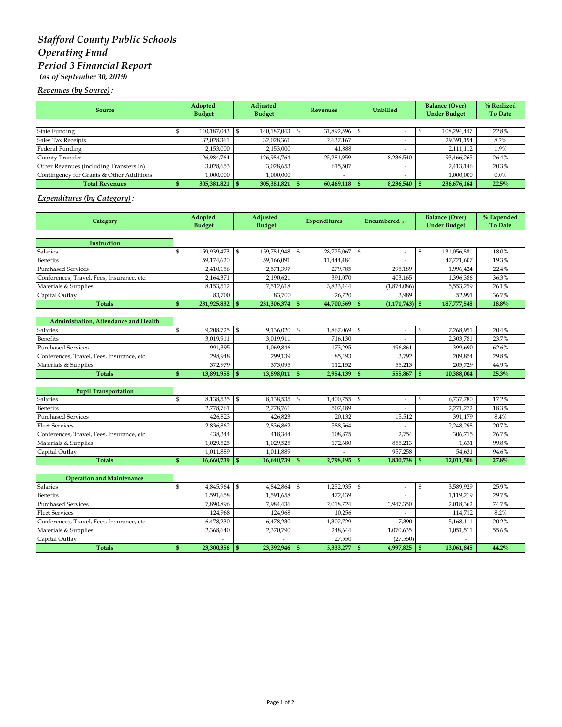# *Stafford County Public Schools Operating Fund Period 3 Financial Report (as of September 30, 2019)*

*Revenues (by Source) :*

| <b>Source</b>                            | Adopted<br><b>Budget</b> | Adjusted<br><b>Budget</b> | <b>Revenues</b> | <b>Unbilled</b>          | <b>Balance (Over)</b><br><b>Under Budget</b> | % Realized<br><b>To Date</b> |
|------------------------------------------|--------------------------|---------------------------|-----------------|--------------------------|----------------------------------------------|------------------------------|
|                                          |                          |                           |                 |                          |                                              |                              |
| <b>State Funding</b>                     | 140,187,043 \$           | 140,187,043 \$            | 31,892,596      |                          | 108,294,447                                  | 22.8%                        |
| Sales Tax Receipts                       | 32,028,361               | 32,028,361                | 2,637,167       |                          | 29,391,194                                   | 8.2%                         |
| Federal Funding                          | 2,153,000                | 2,153,000                 | 41.888          |                          | 2.111.112                                    | 1.9%                         |
| County Transfer                          | 126,984,764              | 126,984,764               | 25,281,959      | 8,236,540                | 93,466,265                                   | 26.4%                        |
| Other Revenues (including Transfers In)  | 3,028,653                | 3,028,653                 | 615,507         | $\overline{\phantom{a}}$ | 2,413,146                                    | 20.3%                        |
| Contingency for Grants & Other Additions | 1,000,000                | 1,000,000                 |                 |                          | 1,000,000                                    | $0.0\%$                      |
| <b>Total Revenues</b>                    | $305,381,821$ \$         | 305,381,821               | 60,469,118      | $8,236,540$ \$           | 236,676,164                                  | 22.5%                        |

### *Expenditures (by Category) :*

| Category                                   | Adopted<br><b>Budget</b> |                 | Adjusted<br><b>Budget</b> |             | <b>Expenditures</b> |                | Encumbered m                             |                | <b>Balance (Over)</b><br><b>Under Budget</b> | % Expended<br><b>To Date</b> |
|--------------------------------------------|--------------------------|-----------------|---------------------------|-------------|---------------------|----------------|------------------------------------------|----------------|----------------------------------------------|------------------------------|
|                                            |                          |                 |                           |             |                     |                |                                          |                |                                              |                              |
| Instruction                                |                          |                 |                           |             |                     |                |                                          |                |                                              |                              |
| <b>Salaries</b>                            | \$                       | 159,939,473     | \$                        | 159,781,948 | \$                  | 28,725,067     | \$                                       | $\mathbb{S}$   | 131,056,881                                  | 18.0%                        |
| <b>Benefits</b>                            |                          | 59,174,620      |                           | 59,166,091  |                     | 11,444,484     |                                          |                | 47,721,607                                   | 19.3%                        |
| <b>Purchased Services</b>                  |                          | 2,410,156       |                           | 2,571,397   |                     | 279,785        | 295,189                                  |                | 1,996,424                                    | 22.4%                        |
| Conferences, Travel, Fees, Insurance, etc. |                          | 2,164,371       |                           | 2,190,621   |                     | 391,070        | 403,165                                  |                | 1,396,386                                    | 36.3%                        |
| Materials & Supplies                       |                          | 8,153,512       |                           | 7,512,618   |                     | 3,833,444      | (1,874,086)                              |                | 5,553,259                                    | 26.1%                        |
| Capital Outlay                             |                          | 83,700          |                           | 83,700      |                     | 26,720         | 3,989                                    |                | 52,991                                       | 36.7%                        |
| <b>Totals</b>                              | \$                       | 231,925,832     | $\mathbf{s}$              | 231,306,374 | S                   | 44,700,569     | $\mathbf{s}$<br>$(1,171,743)$ \$         |                | 187,777,548                                  | 18.8%                        |
| Administration, Attendance and Health      |                          |                 |                           |             |                     |                |                                          |                |                                              |                              |
| <b>Salaries</b>                            | \$                       | 9,208,725       | $\vert$ \$                | 9,136,020   | $\mathfrak{s}$      | 1,867,069      | \$<br>$\overline{\phantom{a}}$           | \$             | 7,268,951                                    | 20.4%                        |
| Benefits                                   |                          | 3,019,911       |                           | 3,019,911   |                     | 716,130        |                                          |                | 2,303,781                                    | 23.7%                        |
| <b>Purchased Services</b>                  |                          | 991,395         |                           | 1,069,846   |                     | 173,295        | 496,861                                  |                | 399,690                                      | $62.6\%$                     |
| Conferences, Travel, Fees, Insurance, etc. |                          | 298,948         |                           | 299,139     |                     | 85,493         | 3,792                                    |                | 209,854                                      | 29.8%                        |
| Materials & Supplies                       |                          | 372,979         |                           | 373,095     |                     | 112,152        | 55,213                                   |                | 205,729                                      | 44.9%                        |
| <b>Totals</b>                              | $\mathbf{s}$             | 13,891,958      | $\mathsf{I}$              | 13,898,011  | $\mathbf{s}$        | 2,954,139      | 555,867<br>$\mathbb{S}$                  | $\mathsf{I}$ s | 10,388,004                                   | 25.3%                        |
|                                            |                          |                 |                           |             |                     |                |                                          |                |                                              |                              |
| <b>Pupil Transportation</b>                |                          |                 |                           |             |                     |                |                                          |                |                                              |                              |
| Salaries                                   | \$                       | 8,138,535 \$    |                           | 8,138,535   | l \$                | 1,400,755      | \$<br>$\overline{\phantom{a}}$           | \$             | 6,737,780                                    | 17.2%                        |
| <b>Benefits</b>                            |                          | 2,778,761       |                           | 2,778,761   |                     | 507,489        | $\frac{1}{2}$                            |                | 2,271,272                                    | 18.3%                        |
| <b>Purchased Services</b>                  |                          | 426,823         |                           | 426,823     |                     | 20,132         | 15,512                                   |                | 391,179                                      | 8.4%                         |
| <b>Fleet Services</b>                      |                          | 2,836,862       |                           | 2,836,862   |                     | 588,564        |                                          |                | 2,248,298                                    | 20.7%                        |
| Conferences, Travel, Fees, Insurance, etc. |                          | 438,344         |                           | 418,344     |                     | 108,875        | 2,754                                    |                | 306,715                                      | 26.7%                        |
| Materials & Supplies                       |                          | 1,029,525       |                           | 1,029,525   |                     | 172,680        | 855,213                                  |                | 1,631                                        | 99.8%                        |
| Capital Outlay                             |                          | 1,011,889       |                           | 1,011,889   |                     |                | 957,258                                  |                | 54,631                                       | 94.6%                        |
| <b>Totals</b>                              | \$                       | 16,660,739      | $\mathbf{s}$              | 16,640,739  | $\mathbf{s}$        | 2,798,495      | $\mathbf{s}$<br>1,830,738                | $\mathbf{s}$   | 12,011,506                                   | 27.8%                        |
| <b>Operation and Maintenance</b>           |                          |                 |                           |             |                     |                |                                          |                |                                              |                              |
| Salaries                                   | $\mathbb{S}$             | 4,845,964 \$    |                           | 4,842,864   | \$                  | 1.252.935      | $\mathbb{S}$<br>$\overline{\phantom{a}}$ | $\mathfrak{s}$ | 3,589,929                                    | 25.9%                        |
| Benefits                                   |                          | 1,591,658       |                           | 1,591,658   |                     | 472,439        | ٠                                        |                | 1,119,219                                    | 29.7%                        |
| <b>Purchased Services</b>                  |                          | 7,890,896       |                           | 7,984,436   |                     | 2,018,724      | 3,947,350                                |                | 2,018,362                                    | 74.7%                        |
| <b>Fleet Services</b>                      |                          | 124,968         |                           | 124,968     |                     | 10,256         |                                          |                | 114,712                                      | 8.2%                         |
| Conferences, Travel, Fees, Insurance, etc. |                          | 6,478,230       |                           | 6,478,230   |                     | 1,302,729      | 7,390                                    |                | 5,168,111                                    | 20.2%                        |
| Materials & Supplies                       |                          | 2,368,640       |                           | 2,370,790   |                     | 248,644        | 1,070,635                                |                | 1,051,511                                    | 55.6%                        |
| Capital Outlay                             |                          |                 |                           |             |                     | 27,550         | (27, 550)                                |                |                                              |                              |
| <b>Totals</b>                              | $\mathbf{s}$             | $23,300,356$ \$ |                           | 23,392,946  | $\vert$ \$          | $5,333,277$ \$ | $4,997,825$ \$                           |                | 13,061,845                                   | 44.2%                        |